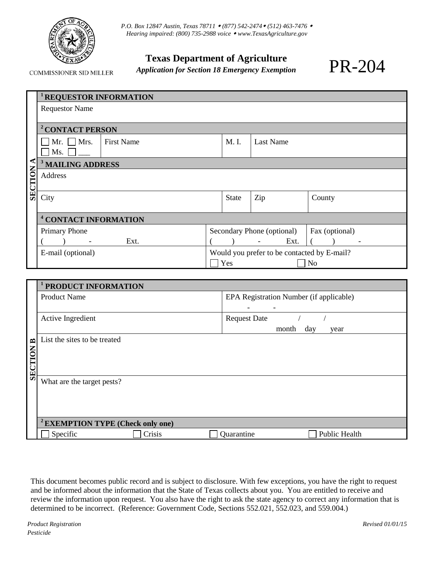

COMMISSIONER SID MILLER

*P.O. Box 12847 Austin, Texas 78711 (877) 542-2474 (512) 463-7476 Hearing impaired: (800) 735-2988 voice [www.TexasAgriculture.gov](http://www.agr.state.tx.us/)*

## **Texas Department of Agriculture**

*Application for Section 18 Emergency Exemption* 

|         | <b>REQUESTOR INFORMATION</b>         |                                             |              |                            |                |  |  |
|---------|--------------------------------------|---------------------------------------------|--------------|----------------------------|----------------|--|--|
|         | <b>Requestor Name</b>                |                                             |              |                            |                |  |  |
|         |                                      |                                             |              |                            |                |  |  |
|         | <sup>2</sup> CONTACT PERSON          |                                             |              |                            |                |  |  |
|         | Mr. $\Box$ Mrs.<br><b>First Name</b> |                                             | M. I.        | <b>Last Name</b>           |                |  |  |
|         | $\overline{\mathsf{Ms}}$ .           |                                             |              |                            |                |  |  |
|         | <b>MAILING ADDRESS</b>               |                                             |              |                            |                |  |  |
| SECTION | <b>Address</b>                       |                                             |              |                            |                |  |  |
|         |                                      |                                             |              |                            |                |  |  |
|         | City                                 |                                             | <b>State</b> | Zip                        | County         |  |  |
|         |                                      |                                             |              |                            |                |  |  |
|         | <sup>4</sup> CONTACT INFORMATION     |                                             |              |                            |                |  |  |
|         | <b>Primary Phone</b>                 |                                             |              | Secondary Phone (optional) | Fax (optional) |  |  |
|         | Ext.<br>$\overline{\phantom{a}}$     |                                             |              | Ext.<br>$\blacksquare$     |                |  |  |
|         | E-mail (optional)                    | Would you prefer to be contacted by E-mail? |              |                            |                |  |  |
|         |                                      |                                             | Yes          |                            | No             |  |  |

|                | PRODUCT INFORMATION                          |                                         |  |  |  |
|----------------|----------------------------------------------|-----------------------------------------|--|--|--|
|                | <b>Product Name</b>                          | EPA Registration Number (if applicable) |  |  |  |
|                |                                              | $\overline{\phantom{a}}$                |  |  |  |
|                | Active Ingredient                            | <b>Request Date</b>                     |  |  |  |
|                |                                              | month<br>day<br>year                    |  |  |  |
| $\blacksquare$ |                                              |                                         |  |  |  |
| SECTION        |                                              |                                         |  |  |  |
|                |                                              |                                         |  |  |  |
|                |                                              |                                         |  |  |  |
|                | What are the target pests?                   |                                         |  |  |  |
|                |                                              |                                         |  |  |  |
|                |                                              |                                         |  |  |  |
|                | <sup>2</sup> EXEMPTION TYPE (Check only one) |                                         |  |  |  |
|                |                                              |                                         |  |  |  |
|                | Crisis<br>Specific                           | Public Health<br>Quarantine             |  |  |  |

This document becomes public record and is subject to disclosure. With few exceptions, you have the right to request and be informed about the information that the State of Texas collects about you. You are entitled to receive and review the information upon request. You also have the right to ask the state agency to correct any information that is determined to be incorrect. (Reference: Government Code, Sections 552.021, 552.023, and 559.004.)